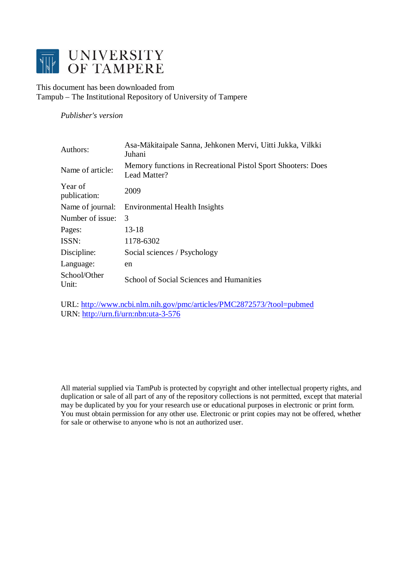

This document has been downloaded from Tampub – The Institutional Repository of University of Tampere

*Publisher's version* 

| Authors:                | Asa-Mäkitaipale Sanna, Jehkonen Mervi, Uitti Jukka, Vilkki<br>Juhani         |
|-------------------------|------------------------------------------------------------------------------|
| Name of article:        | Memory functions in Recreational Pistol Sport Shooters: Does<br>Lead Matter? |
| Year of<br>publication: | 2009                                                                         |
| Name of journal:        | Environmental Health Insights                                                |
| Number of issue:        | 3                                                                            |
| Pages:                  | 13-18                                                                        |
| ISSN:                   | 1178-6302                                                                    |
| Discipline:             | Social sciences / Psychology                                                 |
| Language:               | en                                                                           |
| School/Other<br>Unit:   | School of Social Sciences and Humanities                                     |

URL:<http://www.ncbi.nlm.nih.gov/pmc/articles/PMC2872573/?tool=pubmed> URN: <http://urn.fi/urn:nbn:uta-3-576>

All material supplied via TamPub is protected by copyright and other intellectual property rights, and duplication or sale of all part of any of the repository collections is not permitted, except that material may be duplicated by you for your research use or educational purposes in electronic or print form. You must obtain permission for any other use. Electronic or print copies may not be offered, whether for sale or otherwise to anyone who is not an authorized user.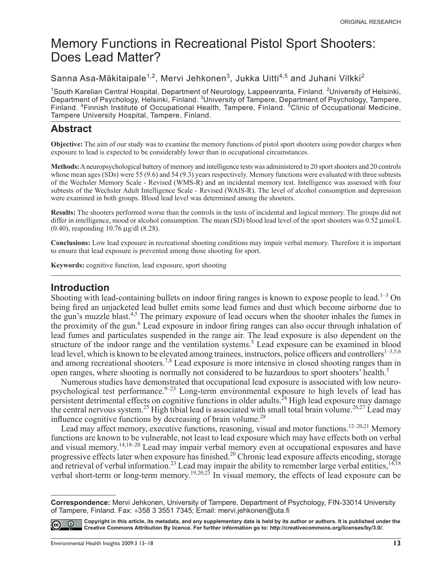# Memory Functions in Recreational Pistol Sport Shooters: Does Lead Matter?

Sanna Asa-Mäkitaipale<sup>1,2</sup>, Mervi Jehkonen<sup>3</sup>, Jukka Uitti<sup>4,5</sup> and Juhani Vilkki<sup>2</sup>

<sup>1</sup>South Karelian Central Hospital, Department of Neurology, Lappeenranta, Finland. <sup>2</sup>University of Helsinki, Department of Psychology, Helsinki, Finland. <sup>3</sup>University of Tampere, Department of Psychology, Tampere, Finland. <sup>4</sup> Finnish Institute of Occupational Health, Tampere, Finland. <sup>5</sup> Clinic of Occupational Medicine, Tampere University Hospital, Tampere, Finland.

### **Abstract**

**Objective:** The aim of our study was to examine the memory functions of pistol sport shooters using powder charges when exposure to lead is expected to be considerably lower than in occupational circumstances.

**Methods:** A neuropsychological battery of memory and intelligence tests was administered to 20 sport shooters and 20 controls whose mean ages (SDs) were 55 (9.6) and 54 (9.3) years respectively. Memory functions were evaluated with three subtests of the Wechsler Memory Scale - Revised (WMS-R) and an incidental memory test. Intelligence was assessed with four subtests of the Wechsler Adult Intelligence Scale - Revised (WAIS-R). The level of alcohol consumption and depression were examined in both groups. Blood lead level was determined among the shooters.

**Results:** The shooters performed worse than the controls in the tests of incidental and logical memory. The groups did not differ in intelligence, mood or alcohol consumption. The mean (SD) blood lead level of the sport shooters was 0.52 μmol/L (0.40), responding 10.76 μg/dl (8.28).

**Conclusions:** Low lead exposure in recreational shooting conditions may impair verbal memory. Therefore it is important to ensure that lead exposure is prevented among those shooting for sport.

**Keywords:** cognitive function, lead exposure, sport shooting

#### **Introduction**

Shooting with lead-containing bullets on indoor firing ranges is known to expose people to lead.<sup>1-3</sup> On being fired an unjacketed lead bullet emits some lead fumes and dust which become airborne due to the gun's muzzle blast.4,5 The primary exposure of lead occurs when the shooter inhales the fumes in the proximity of the gun.<sup>6</sup> Lead exposure in indoor firing ranges can also occur through inhalation of lead fumes and particulates suspended in the range air. The lead exposure is also dependent on the structure of the indoor range and the ventilation systems.<sup>5</sup> Lead exposure can be examined in blood lead level, which is known to be elevated among trainees, instructors, police officers and controllers<sup>1–3,5,6</sup> and among recreational shooters.<sup>7,8</sup> Lead exposure is more intensive in closed shooting ranges than in open ranges, where shooting is normally not considered to be hazardous to sport shooters' health.<sup>5</sup>

Numerous studies have demonstrated that occupational lead exposure is associated with low neuropsychological test performance.<sup>9–23</sup> Long-term environmental exposure to high levels of lead has persistent detrimental effects on cognitive functions in older adults.<sup>24</sup> High lead exposure may damage the central nervous system.<sup>25</sup> High tibial lead is associated with small total brain volume.<sup>26,27</sup> Lead may influence cognitive functions by decreasing of brain volume.<sup>28</sup>

Lead may affect memory, executive functions, reasoning, visual and motor functions.<sup>12–20,21</sup> Memory functions are known to be vulnerable, not least to lead exposure which may have effects both on verbal and visual memory.14,18–20 Lead may impair verbal memory even at occupational exposures and have progressive effects later when exposure has finished.<sup>20</sup> Chronic lead exposure affects encoding, storage and retrieval of verbal information.<sup>23</sup> Lead may impair the ability to remember large verbal entities,  $14,18$ verbal short-term or long-term memory.<sup>19,20,23</sup> In visual memory, the effects of lead exposure can be

**Correspondence:** Mervi Jehkonen, University of Tampere, Department of Psychology, FIN-33014 University of Tampere, Finland. Fax: +358 3 3551 7345; Email: mervi.jehkonen@uta.fi



**Copyright in this article, its metadata, and any supplementary data is held by its author or authors. It is published under the Creative Commons Attribution By licence. For further information go to: [http://creativecommons.org/licenses/by/3.0/.](http://creativecommons.org/licenses/by/3.0/)**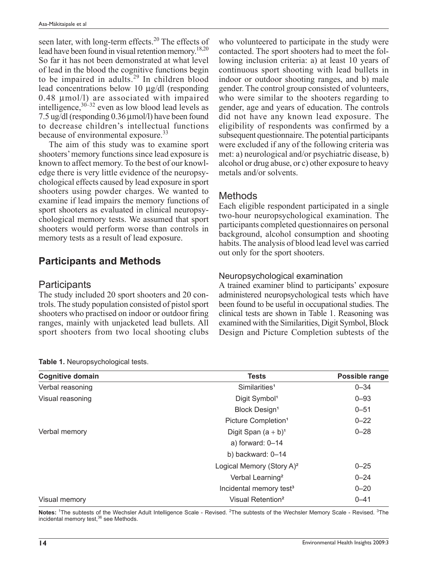seen later, with long-term effects.<sup>20</sup> The effects of lead have been found in visual retention memory.<sup>18,20</sup> So far it has not been demonstrated at what level of lead in the blood the cognitive functions begin to be impaired in adults.29 In children blood lead concentrations below 10 μg/dl (responding 0.48 μmol/l) are associated with impaired intelligence,  $30-32$  even as low blood lead levels as 7.5 ug/dl (responding 0.36 μmol/l) have been found to decrease children's intellectual functions because of environmental exposure.<sup>33</sup>

The aim of this study was to examine sport shooters' memory functions since lead exposure is known to affect memory. To the best of our knowledge there is very little evidence of the neuropsychological effects caused by lead exposure in sport shooters using powder charges. We wanted to examine if lead impairs the memory functions of sport shooters as evaluated in clinical neuropsychological memory tests. We assumed that sport shooters would perform worse than controls in memory tests as a result of lead exposure.

## **Participants and Methods**

#### **Participants**

The study included 20 sport shooters and 20 controls. The study population consisted of pistol sport shooters who practised on indoor or outdoor firing ranges, mainly with unjacketed lead bullets. All sport shooters from two local shooting clubs

who volunteered to participate in the study were contacted. The sport shooters had to meet the following inclusion criteria: a) at least 10 years of continuous sport shooting with lead bullets in indoor or outdoor shooting ranges, and b) male gender. The control group consisted of volunteers, who were similar to the shooters regarding to gender, age and years of education. The controls did not have any known lead exposure. The eligibility of respondents was confirmed by a subsequent questionnaire. The potential participants were excluded if any of the following criteria was met: a) neurological and/or psychiatric disease, b) alcohol or drug abuse, or c) other exposure to heavy metals and/or solvents.

## Methods

Each eligible respondent participated in a single two-hour neuropsychological examination. The participants completed questionnaires on personal background, alcohol consumption and shooting habits. The analysis of blood lead level was carried out only for the sport shooters.

#### Neuropsychological examination

A trained examiner blind to participants' exposure administered neuropsychological tests which have been found to be useful in occupational studies. The clinical tests are shown in Table 1. Reasoning was examined with the Similarities, Digit Symbol, Block Design and Picture Completion subtests of the

| <b>Cognitive domain</b> | <b>Tests</b>                          | Possible range |
|-------------------------|---------------------------------------|----------------|
| Verbal reasoning        | Similarities <sup>1</sup>             | $0 - 34$       |
| Visual reasoning        | Digit Symbol <sup>1</sup>             | $0 - 93$       |
|                         | <b>Block Design<sup>1</sup></b>       | $0 - 51$       |
|                         | Picture Completion <sup>1</sup>       | $0 - 22$       |
| Verbal memory           | Digit Span $(a + b)^1$                | $0 - 28$       |
|                         | a) forward: $0-14$                    |                |
|                         | b) backward: 0-14                     |                |
|                         | Logical Memory (Story A) <sup>2</sup> | $0 - 25$       |
|                         | Verbal Learning <sup>2</sup>          | $0 - 24$       |
|                         | Incidental memory test <sup>3</sup>   | $0 - 20$       |
| Visual memory           | Visual Retention <sup>2</sup>         | $0 - 41$       |

**Table 1.** Neuropsychological tests.

Notes: <sup>1</sup>The subtests of the Wechsler Adult Intelligence Scale - Revised. <sup>2</sup>The subtests of the Wechsler Memory Scale - Revised. <sup>3</sup>The incidental memory test,<sup>36</sup> see Methods.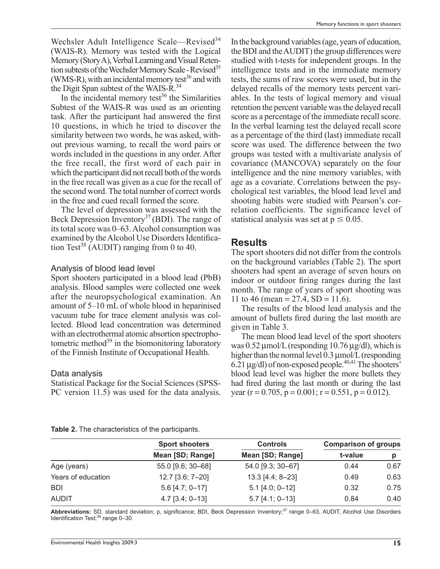Wechsler Adult Intelligence Scale—Revised<sup>34</sup> (WAIS-R). Memory was tested with the Logical Memory (Story A), Verbal Learning and Visual Retention subtests of the Wechsler Memory Scale - Revised<sup>35</sup> (WMS-R), with an incidental memory test<sup>36</sup> and with the Digit Span subtest of the WAIS-R.<sup>34</sup>

In the incidental memory test<sup>36</sup> the Similarities Subtest of the WAIS-R was used as an orienting task. After the participant had answered the first 10 questions, in which he tried to discover the similarity between two words, he was asked, without previous warning, to recall the word pairs or words included in the questions in any order. After the free recall, the first word of each pair in which the participant did not recall both of the words in the free recall was given as a cue for the recall of the second word. The total number of correct words in the free and cued recall formed the score.

The level of depression was assessed with the Beck Depression Inventory<sup>37</sup> (BDI). The range of its total score was 0–63. Alcohol consumption was examined by the Alcohol Use Disorders Identification Test<sup>38</sup> (AUDIT) ranging from 0 to 40.

#### Analysis of blood lead level

Sport shooters participated in a blood lead (PbB) analysis. Blood samples were collected one week after the neuropsychological examination. An amount of 5–10 mL of whole blood in heparinised vacuum tube for trace element analysis was collected. Blood lead concentration was determined with an electrothermal atomic absortion spectrophotometric method $39$  in the biomonitoring laboratory of the Finnish Institute of Occupational Health.

#### Data analysis

Statistical Package for the Social Sciences (SPSS-PC version 11.5) was used for the data analysis.

In the background variables (age, years of education, the BDI and the AUDIT) the group differences were studied with t-tests for independent groups. In the intelligence tests and in the immediate memory tests, the sums of raw scores were used, but in the delayed recalls of the memory tests percent variables. In the tests of logical memory and visual retention the percent variable was the delayed recall score as a percentage of the immediate recall score. In the verbal learning test the delayed recall score as a percentage of the third (last) immediate recall score was used. The difference between the two groups was tested with a multivariate analysis of covariance (MANCOVA) separately on the four intelligence and the nine memory variables, with age as a covariate. Correlations between the psychological test variables, the blood lead level and shooting habits were studied with Pearson's correlation coefficients. The significance level of statistical analysis was set at  $p \le 0.05$ .

#### **Results**

The sport shooters did not differ from the controls on the background variables (Table 2). The sport shooters had spent an average of seven hours on indoor or outdoor firing ranges during the last month. The range of years of sport shooting was 11 to 46 (mean =  $27.4$ , SD = 11.6).

The results of the blood lead analysis and the amount of bullets fired during the last month are given in Table 3.

The mean blood lead level of the sport shooters was  $0.52 \mu$ mol/L (responding 10.76  $\mu$ g/dl), which is higher than the normal level 0.3 μmol/L (responding  $6.21 \mu$ g/dl) of non-exposed people.<sup>40,41</sup> The shooters' blood lead level was higher the more bullets they had fired during the last month or during the last year (r = 0.705, p = 0.001; r = 0.551, p = 0.012).

#### **Table 2.** The characteristics of the participants.

|                    | <b>Sport shooters</b> | <b>Controls</b>   | <b>Comparison of groups</b> |      |
|--------------------|-----------------------|-------------------|-----------------------------|------|
|                    | Mean [SD; Range]      | Mean [SD; Range]  | t-value                     | p    |
| Age (years)        | 55.0 [9.6; 30-68]     | 54.0 [9.3; 30-67] | 0.44                        | 0.67 |
| Years of education | 12.7 [3.6; 7-20]      | 13.3 [4.4; 8-23]  | 0.49                        | 0.63 |
| <b>BDI</b>         | $5.6$ [4.7; 0-17]     | $5.1$ [4.0; 0-12] | 0.32                        | 0.75 |
| <b>AUDIT</b>       | $4.7$ [3.4; 0-13]     | $5.7$ [4.1; 0-13] | 0.84                        | 0.40 |

Abbreviations: SD, standard deviation; p, significance; BDI, Beck Depression Inventory;<sup>37</sup> range 0–63, AUDIT, Alcohol Use Disorders Identification Test; $38$  range 0-30.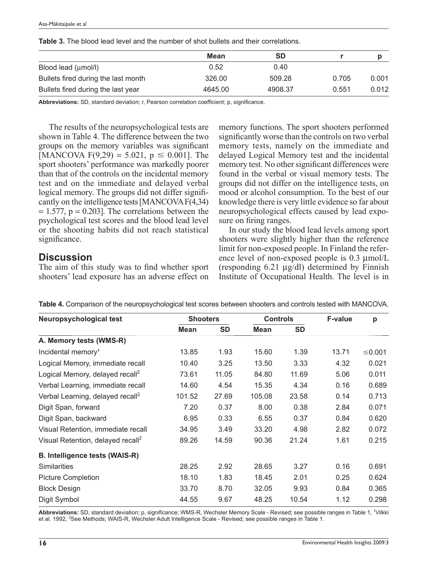|                                     | Mean    | <b>SD</b> |       |       |
|-------------------------------------|---------|-----------|-------|-------|
| Blood lead (umol/l)                 | 0.52    | 0.40      |       |       |
| Bullets fired during the last month | 326.00  | 509.28    | 0.705 | 0.001 |
| Bullets fired during the last year  | 4645.00 | 4908.37   | 0.551 | 0.012 |

**Table 3.** The blood lead level and the number of shot bullets and their correlations.

Abbreviations: SD, standard deviation; r, Pearson correlation coefficient; p, significance.

The results of the neuropsychological tests are shown in Table 4. The difference between the two groups on the memory variables was significant [MANCOVA F(9,29) = 5.021,  $p \le 0.001$ ]. The sport shooters' performance was markedly poorer than that of the controls on the incidental memory test and on the immediate and delayed verbal logical memory. The groups did not differ significantly on the intelligence tests [MANCOVA F(4,34)  $= 1.577$ ,  $p = 0.203$ . The correlations between the psychological test scores and the blood lead level or the shooting habits did not reach statistical significance.

## **Discussion**

The aim of this study was to find whether sport shooters' lead exposure has an adverse effect on memory functions. The sport shooters performed significantly worse than the controls on two verbal memory tests, namely on the immediate and delayed Logical Memory test and the incidental memory test. No other significant differences were found in the verbal or visual memory tests. The groups did not differ on the intelligence tests, on mood or alcohol consumption. To the best of our knowledge there is very little evidence so far about neuropsychological effects caused by lead exposure on firing ranges.

In our study the blood lead levels among sport shooters were slightly higher than the reference limit for non-exposed people. In Finland the reference level of non-exposed people is 0.3 μmol/L (responding 6.21 μg/dl) determined by Finnish Institute of Occupational Health. The level is in

| Neuropsychological test                       | <b>Shooters</b> |           | <b>Controls</b> |           | <b>F-value</b> | p      |
|-----------------------------------------------|-----------------|-----------|-----------------|-----------|----------------|--------|
|                                               | <b>Mean</b>     | <b>SD</b> | Mean            | <b>SD</b> |                |        |
| A. Memory tests (WMS-R)                       |                 |           |                 |           |                |        |
| Incidental memory <sup>1</sup>                | 13.85           | 1.93      | 15.60           | 1.39      | 13.71          | ≤0.001 |
| Logical Memory, immediate recall              | 10.40           | 3.25      | 13.50           | 3.33      | 4.32           | 0.021  |
| Logical Memory, delayed recall <sup>2</sup>   | 73.61           | 11.05     | 84.80           | 11.69     | 5.06           | 0.011  |
| Verbal Learning, immediate recall             | 14.60           | 4.54      | 15.35           | 4.34      | 0.16           | 0.689  |
| Verbal Learning, delayed recall <sup>2</sup>  | 101.52          | 27.69     | 105.08          | 23.58     | 0.14           | 0.713  |
| Digit Span, forward                           | 7.20            | 0.37      | 8.00            | 0.38      | 2.84           | 0.071  |
| Digit Span, backward                          | 6.95            | 0.33      | 6.55            | 0.37      | 0.84           | 0.620  |
| Visual Retention, immediate recall            | 34.95           | 3.49      | 33.20           | 4.98      | 2.82           | 0.072  |
| Visual Retention, delayed recall <sup>2</sup> | 89.26           | 14.59     | 90.36           | 21.24     | 1.61           | 0.215  |
| <b>B. Intelligence tests (WAIS-R)</b>         |                 |           |                 |           |                |        |
| <b>Similarities</b>                           | 28.25           | 2.92      | 28.65           | 3.27      | 0.16           | 0.691  |
| <b>Picture Completion</b>                     | 18.10           | 1.83      | 18.45           | 2.01      | 0.25           | 0.624  |
| <b>Block Design</b>                           | 33.70           | 8.70      | 32.05           | 9.93      | 0.84           | 0.365  |
| Digit Symbol                                  | 44.55           | 9.67      | 48.25           | 10.54     | 1.12           | 0.298  |

**Table 4.** Comparison of the neuropsychological test scores between shooters and controls tested with MANCOVA.

Abbreviations: SD, standard deviation; p, significance; WMS-R, Wechsler Memory Scale - Revised; see possible ranges in Table 1, <sup>1</sup>Vilkki et al. 1992, <sup>2</sup>See Methods; WAIS-R, Wechsler Adult Intelligence Scale - Revised; see possible ranges in Table 1.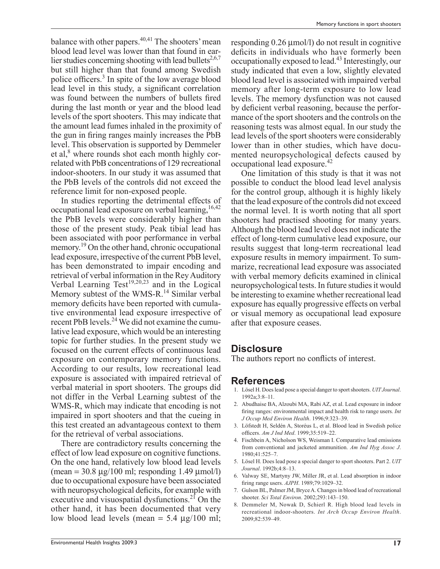balance with other papers.<sup>40,41</sup> The shooters' mean blood lead level was lower than that found in earlier studies concerning shooting with lead bullets<sup>2,6,7</sup> but still higher than that found among Swedish police officers.<sup>3</sup> In spite of the low average blood lead level in this study, a significant correlation was found between the numbers of bullets fired during the last month or year and the blood lead levels of the sport shooters. This may indicate that the amount lead fumes inhaled in the proximity of the gun in firing ranges mainly increases the PbB level. This observation is supported by Demmeler et al,<sup>8</sup> where rounds shot each month highly correlated with PbB concentrations of 129 recreational indoor-shooters. In our study it was assumed that the PbB levels of the controls did not exceed the reference limit for non-exposed people.

In studies reporting the detrimental effects of occupational lead exposure on verbal learning.<sup>16,42</sup> the PbB levels were considerably higher than those of the present study. Peak tibial lead has been associated with poor performance in verbal memory.<sup>19</sup> On the other hand, chronic occupational lead exposure, irrespective of the current PbB level, has been demonstrated to impair encoding and retrieval of verbal information in the Rey Auditory Verbal Learning Test $19,20,23$  and in the Logical Memory subtest of the WMS-R.<sup>14</sup> Similar verbal memory deficits have been reported with cumulative environmental lead exposure irrespective of recent PbB levels.<sup>24</sup> We did not examine the cumulative lead exposure, which would be an interesting topic for further studies. In the present study we focused on the current effects of continuous lead exposure on contemporary memory functions. According to our results, low recreational lead exposure is associated with impaired retrieval of verbal material in sport shooters. The groups did not differ in the Verbal Learning subtest of the WMS-R, which may indicate that encoding is not impaired in sport shooters and that the cueing in this test created an advantageous context to them for the retrieval of verbal associations.

There are contradictory results concerning the effect of low lead exposure on cognitive functions. On the one hand, relatively low blood lead levels  $(\text{mean} = 30.8 \text{ µg}/100 \text{ ml}; \text{responding } 1.49 \text{ µmol/l})$ due to occupational exposure have been associated with neuropsychological deficits, for example with executive and visuospatial dysfunctions.<sup>21</sup> On the other hand, it has been documented that very low blood lead levels (mean =  $5.4 \text{ µg}/100 \text{ ml}$ ;

responding 0.26 μmol/l) do not result in cognitive deficits in individuals who have formerly been occupationally exposed to lead.43 Interestingly, our study indicated that even a low, slightly elevated blood lead level is associated with impaired verbal memory after long-term exposure to low lead levels. The memory dysfunction was not caused by deficient verbal reasoning, because the performance of the sport shooters and the controls on the reasoning tests was almost equal. In our study the lead levels of the sport shooters were considerably lower than in other studies, which have documented neuropsychological defects caused by occupational lead exposure.<sup>42</sup>

One limitation of this study is that it was not possible to conduct the blood lead level analysis for the control group, although it is highly likely that the lead exposure of the controls did not exceed the normal level. It is worth noting that all sport shooters had practised shooting for many years. Although the blood lead level does not indicate the effect of long-term cumulative lead exposure, our results suggest that long-term recreational lead exposure results in memory impairment. To summarize, recreational lead exposure was associated with verbal memory deficits examined in clinical neuropsychological tests. In future studies it would be interesting to examine whether recreational lead exposure has equally progressive effects on verbal or visual memory as occupational lead exposure after that exposure ceases.

## **Disclosure**

The authors report no conflicts of interest.

#### **References**

- 1. Lösel H. Does lead pose a special danger to sport shooters. *UIT Journal*. 1992a;3:8–11.
- 2. Abudhaise BA, Alzoubi MA, Rabi AZ, et al. Lead exposure in indoor firing ranges: environmental impact and health risk to range users. *Int J Occup Med Environ Health*. 1996;9:323–39.
- 3. Löfstedt H, Seldén A, Storéus L, et al. Blood lead in Swedish police offi cers. *Am J Ind Med*. 1999;35:519–22.
- 4. Fischbein A, Nicholson WS, Weisman I. Comparative lead emissions from conventional and jacketed ammunition. *Am Ind Hyg Assoc J*. 1980;41:525–7.
- 5. Lösel H. Does lead pose a special danger to sport shooters. Part 2. *UIT Journal*. 1992b;4:8–13.
- 6. Valway SE, Martyny JW, Miller JR, et al. Lead absorption in indoor fi ring range users. *AJPH*. 1989;79:1029–32.
- 7. Gulson BL, Palmer JM, Bryce A. Changes in blood lead of recreational shooter. *Sci Total Environ*. 2002;293:143–150.
- 8. Demmeler M, Nowak D, Schierl R. High blood lead levels in recreational indoor-shooters. *Int Arch Occup Environ Health*. 2009;82:539–49.